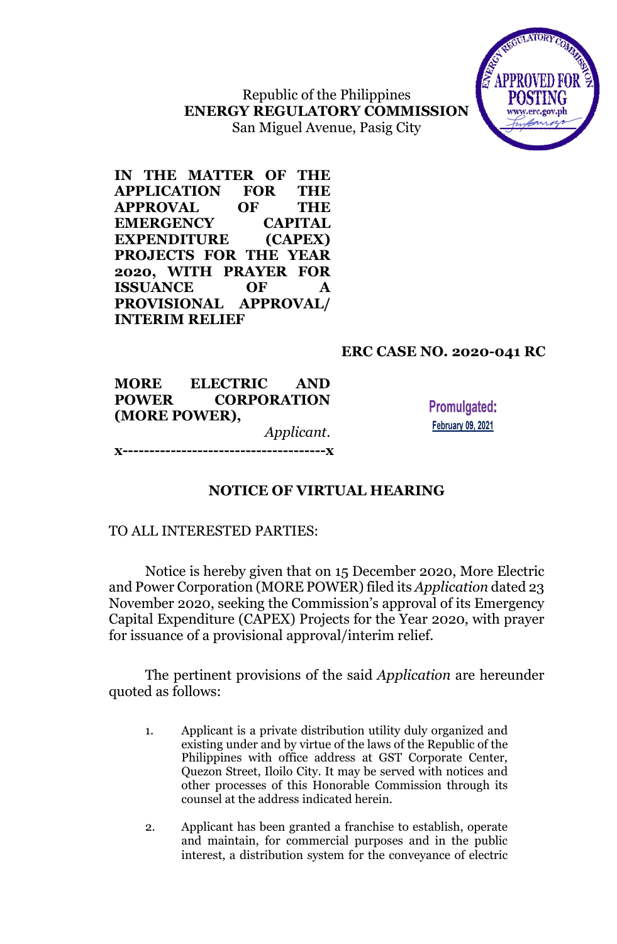Republic of the Philippines **ENERGY REGULATORY COMMISSION** San Miguel Avenue, Pasig City



**IN THE MATTER OF THE APPLICATION FOR THE APPROVAL OF THE EMERGENCY CAPITAL EXPENDITURE (CAPEX) PROJECTS FOR THE YEAR 2020, WITH PRAYER FOR ISSUANCE OF A PROVISIONAL APPROVAL/ INTERIM RELIEF**

# **ERC CASE NO. 2020-041 RC**

**MORE ELECTRIC AND POWER CORPORATION (MORE POWER),** *Applicant*. **x--------------------------------------x**

**Promulgated: February 09, 2021** 

### **NOTICE OF VIRTUAL HEARING**

#### TO ALL INTERESTED PARTIES:

Notice is hereby given that on 15 December 2020, More Electric and Power Corporation (MORE POWER) filed its *Application* dated 23 November 2020, seeking the Commission's approval of its Emergency Capital Expenditure (CAPEX) Projects for the Year 2020, with prayer for issuance of a provisional approval/interim relief.

The pertinent provisions of the said *Application* are hereunder quoted as follows:

- 1. Applicant is a private distribution utility duly organized and existing under and by virtue of the laws of the Republic of the Philippines with office address at GST Corporate Center, Quezon Street, Iloilo City. It may be served with notices and other processes of this Honorable Commission through its counsel at the address indicated herein.
- 2. Applicant has been granted a franchise to establish, operate and maintain, for commercial purposes and in the public interest, a distribution system for the conveyance of electric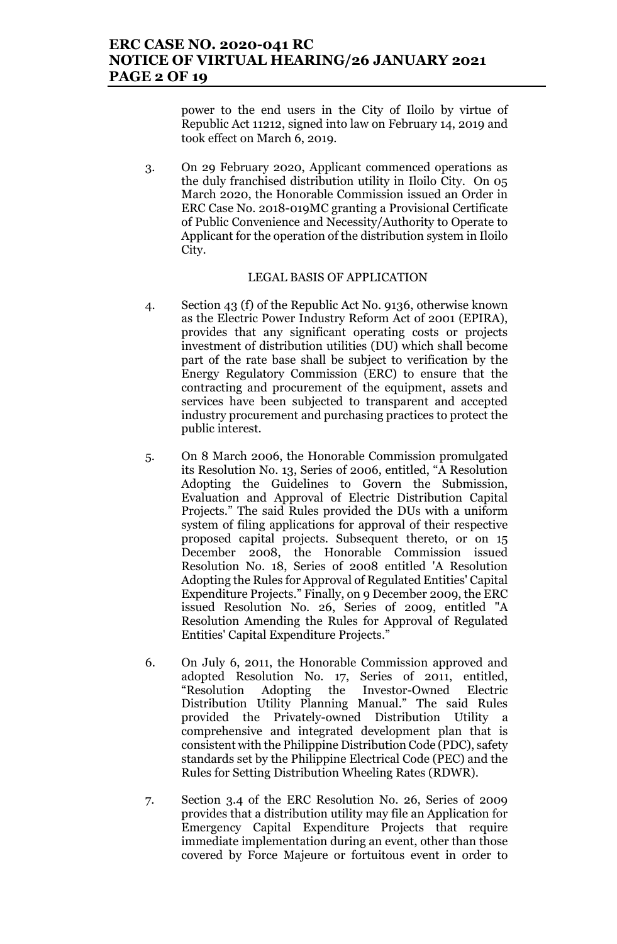### **ERC CASE NO. 2020-041 RC NOTICE OF VIRTUAL HEARING/26 JANUARY 2021 PAGE 2 OF 19**

power to the end users in the City of Iloilo by virtue of Republic Act 11212, signed into law on February 14, 2019 and took effect on March 6, 2019.

3. On 29 February 2020, Applicant commenced operations as the duly franchised distribution utility in Iloilo City. On 05 March 2020, the Honorable Commission issued an Order in ERC Case No. 2018-019MC granting a Provisional Certificate of Public Convenience and Necessity/Authority to Operate to Applicant for the operation of the distribution system in Iloilo City.

#### LEGAL BASIS OF APPLICATION

- 4. Section 43 (f) of the Republic Act No. 9136, otherwise known as the Electric Power Industry Reform Act of 2001 (EPIRA), provides that any significant operating costs or projects investment of distribution utilities (DU) which shall become part of the rate base shall be subject to verification by the Energy Regulatory Commission (ERC) to ensure that the contracting and procurement of the equipment, assets and services have been subjected to transparent and accepted industry procurement and purchasing practices to protect the public interest.
- 5. On 8 March 2006, the Honorable Commission promulgated its Resolution No. 13, Series of 2006, entitled, "A Resolution Adopting the Guidelines to Govern the Submission, Evaluation and Approval of Electric Distribution Capital Projects." The said Rules provided the DUs with a uniform system of filing applications for approval of their respective proposed capital projects. Subsequent thereto, or on 15 December 2008, the Honorable Commission issued Resolution No. 18, Series of 2008 entitled 'A Resolution Adopting the Rules for Approval of Regulated Entities' Capital Expenditure Projects." Finally, on 9 December 2009, the ERC issued Resolution No. 26, Series of 2009, entitled "A Resolution Amending the Rules for Approval of Regulated Entities' Capital Expenditure Projects."
- 6. On July 6, 2011, the Honorable Commission approved and adopted Resolution No. 17, Series of 2011, entitled, "Resolution Adopting the Investor-Owned Electric Distribution Utility Planning Manual." The said Rules provided the Privately-owned Distribution Utility a comprehensive and integrated development plan that is consistent with the Philippine Distribution Code (PDC), safety standards set by the Philippine Electrical Code (PEC) and the Rules for Setting Distribution Wheeling Rates (RDWR).
- 7. Section 3.4 of the ERC Resolution No. 26, Series of 2009 provides that a distribution utility may file an Application for Emergency Capital Expenditure Projects that require immediate implementation during an event, other than those covered by Force Majeure or fortuitous event in order to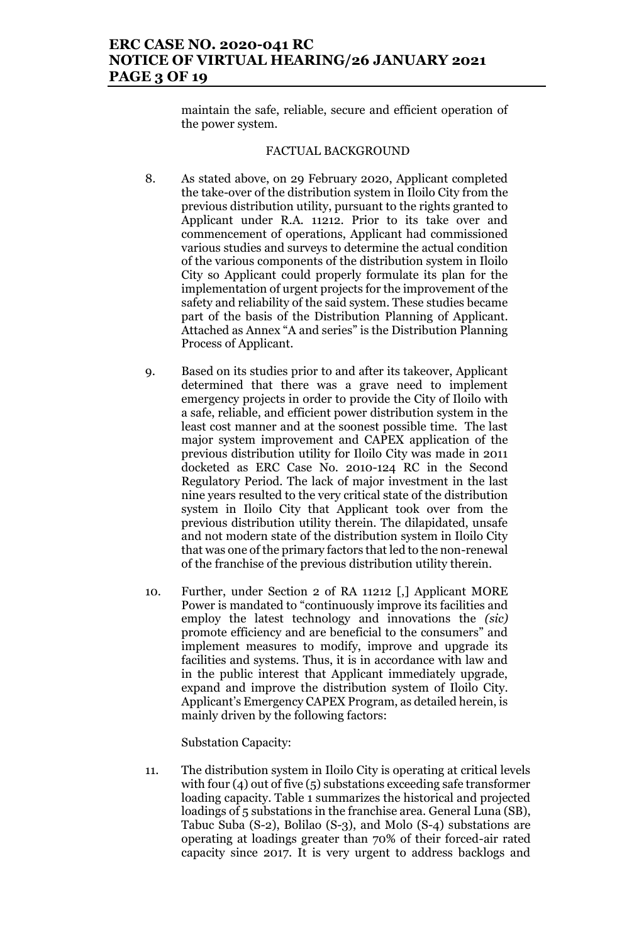# **ERC CASE NO. 2020-041 RC NOTICE OF VIRTUAL HEARING/26 JANUARY 2021 PAGE 3 OF 19**

maintain the safe, reliable, secure and efficient operation of the power system.

#### FACTUAL BACKGROUND

- 8. As stated above, on 29 February 2020, Applicant completed the take-over of the distribution system in Iloilo City from the previous distribution utility, pursuant to the rights granted to Applicant under R.A. 11212. Prior to its take over and commencement of operations, Applicant had commissioned various studies and surveys to determine the actual condition of the various components of the distribution system in Iloilo City so Applicant could properly formulate its plan for the implementation of urgent projects for the improvement of the safety and reliability of the said system. These studies became part of the basis of the Distribution Planning of Applicant. Attached as Annex "A and series" is the Distribution Planning Process of Applicant.
- 9. Based on its studies prior to and after its takeover, Applicant determined that there was a grave need to implement emergency projects in order to provide the City of Iloilo with a safe, reliable, and efficient power distribution system in the least cost manner and at the soonest possible time. The last major system improvement and CAPEX application of the previous distribution utility for Iloilo City was made in 2011 docketed as ERC Case No. 2010-124 RC in the Second Regulatory Period. The lack of major investment in the last nine years resulted to the very critical state of the distribution system in Iloilo City that Applicant took over from the previous distribution utility therein. The dilapidated, unsafe and not modern state of the distribution system in Iloilo City that was one of the primary factors that led to the non-renewal of the franchise of the previous distribution utility therein.
- 10. Further, under Section 2 of RA 11212 [,] Applicant MORE Power is mandated to "continuously improve its facilities and employ the latest technology and innovations the *(sic)* promote efficiency and are beneficial to the consumers" and implement measures to modify, improve and upgrade its facilities and systems. Thus, it is in accordance with law and in the public interest that Applicant immediately upgrade, expand and improve the distribution system of Iloilo City. Applicant's Emergency CAPEX Program, as detailed herein, is mainly driven by the following factors:

Substation Capacity:

11. The distribution system in Iloilo City is operating at critical levels with four (4) out of five (5) substations exceeding safe transformer loading capacity. Table 1 summarizes the historical and projected loadings of 5 substations in the franchise area. General Luna (SB), Tabuc Suba (S-2), Bolilao (S-3), and Molo (S-4) substations are operating at loadings greater than 70% of their forced-air rated capacity since 2017. It is very urgent to address backlogs and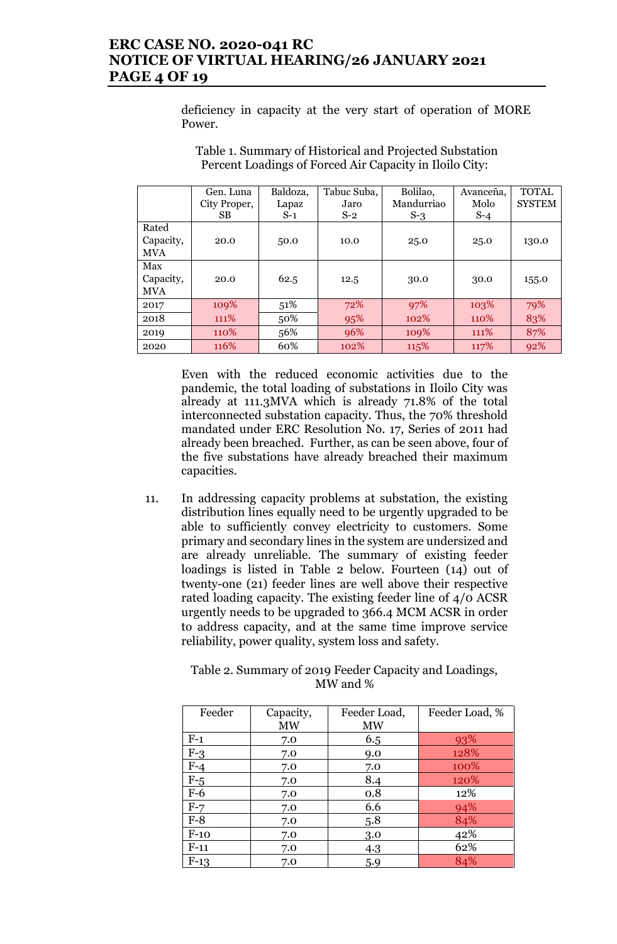# **ERC CASE NO. 2020-041 RC NOTICE OF VIRTUAL HEARING/26 JANUARY 2021 PAGE 4 OF 19**

deficiency in capacity at the very start of operation of MORE Power.

|            | Gen. Luna    | Baldoza, | Tabuc Suba, | Bolilao,   | Avanceña, | <b>TOTAL</b>  |
|------------|--------------|----------|-------------|------------|-----------|---------------|
|            | City Proper, | Lapaz    | Jaro        | Mandurriao | Molo      | <b>SYSTEM</b> |
|            | SB.          | $S-1$    | $S-2$       | $S-3$      | $S-4$     |               |
| Rated      |              |          |             |            |           |               |
| Capacity,  | 20.0         | 50.0     | 10.0        | 25.0       | 25.0      | 130.0         |
| <b>MVA</b> |              |          |             |            |           |               |
| Max        |              |          |             |            |           |               |
| Capacity,  | 20.0         | 62.5     | 12.5        | 30.0       | 30.0      | 155.0         |
| <b>MVA</b> |              |          |             |            |           |               |
| 2017       | 109%         | 51%      | 72%         | 97%        | 103%      | 79%           |
| 2018       | 111%         | 50%      | 95%         | 102%       | 110\%     | 83%           |
| 2019       | 110\%        | 56%      | 96%         | 109%       | 111\%     | 87%           |
| 2020       | 116%         | 60%      | 102%        | 115%       | 117%      | 92%           |

Table 1. Summary of Historical and Projected Substation Percent Loadings of Forced Air Capacity in Iloilo City:

Even with the reduced economic activities due to the pandemic, the total loading of substations in Iloilo City was already at 111.3MVA which is already 71.8% of the total interconnected substation capacity. Thus, the 70% threshold mandated under ERC Resolution No. 17, Series of 2011 had already been breached. Further, as can be seen above, four of the five substations have already breached their maximum capacities.

11. In addressing capacity problems at substation, the existing distribution lines equally need to be urgently upgraded to be able to sufficiently convey electricity to customers. Some primary and secondary lines in the system are undersized and are already unreliable. The summary of existing feeder loadings is listed in Table 2 below. Fourteen (14) out of twenty-one (21) feeder lines are well above their respective rated loading capacity. The existing feeder line of 4/0 ACSR urgently needs to be upgraded to 366.4 MCM ACSR in order to address capacity, and at the same time improve service reliability, power quality, system loss and safety.

> Table 2. Summary of 2019 Feeder Capacity and Loadings, MW and %

| Feeder | Capacity,<br><b>MW</b> | Feeder Load,<br><b>MW</b> | Feeder Load, % |
|--------|------------------------|---------------------------|----------------|
| $F-1$  | 7.0                    | 6.5                       | 93%            |
| $F-3$  | 7.0                    | 9.0                       | 128%           |
| $F-4$  | 7.0                    | 7.0                       | 100%           |
| $F-5$  | 7.0                    | 8.4                       | 120%           |
| $F-6$  | 7.0                    | 0.8                       | 12%            |
| $F-7$  | 7.0                    | 6.6                       | 94%            |
| $F-8$  | 7.0                    | 5.8                       | 84%            |
| $F-10$ | 7.0                    | 3.0                       | 42%            |
| $F-11$ | 7.0                    | 4.3                       | 62%            |
| $F-13$ | 7.0                    | 5.9                       | 84%            |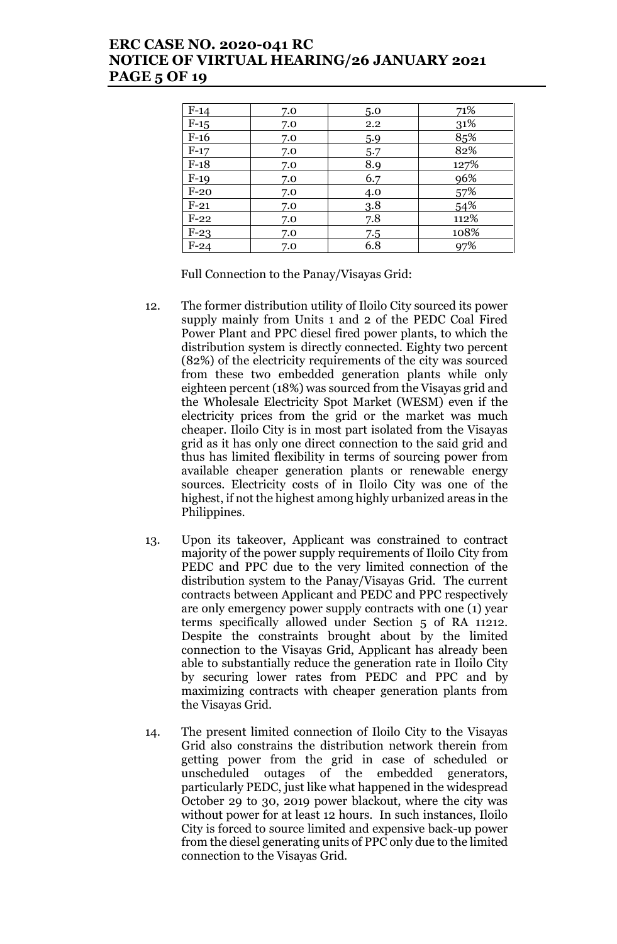# **ERC CASE NO. 2020-041 RC NOTICE OF VIRTUAL HEARING/26 JANUARY 2021 PAGE 5 OF 19**

| $F-14$ | 7.0 | 5.0 | 71%  |
|--------|-----|-----|------|
| $F-15$ | 7.0 | 2.2 | 31%  |
| $F-16$ | 7.0 | 5.9 | 85%  |
| $F-17$ | 7.0 | 5.7 | 82%  |
| $F-18$ | 7.0 | 8.9 | 127% |
| $F-19$ | 7.0 | 6.7 | 96%  |
| $F-20$ | 7.0 | 4.0 | 57%  |
| $F-21$ | 7.0 | 3.8 | 54%  |
| $F-22$ | 7.0 | 7.8 | 112% |
| $F-23$ | 7.0 | 7.5 | 108% |
| $F-24$ | 7.0 | 6.8 | 97%  |

Full Connection to the Panay/Visayas Grid:

- 12. The former distribution utility of Iloilo City sourced its power supply mainly from Units 1 and 2 of the PEDC Coal Fired Power Plant and PPC diesel fired power plants, to which the distribution system is directly connected. Eighty two percent (82%) of the electricity requirements of the city was sourced from these two embedded generation plants while only eighteen percent (18%) was sourced from the Visayas grid and the Wholesale Electricity Spot Market (WESM) even if the electricity prices from the grid or the market was much cheaper. Iloilo City is in most part isolated from the Visayas grid as it has only one direct connection to the said grid and thus has limited flexibility in terms of sourcing power from available cheaper generation plants or renewable energy sources. Electricity costs of in Iloilo City was one of the highest, if not the highest among highly urbanized areas in the Philippines.
- 13. Upon its takeover, Applicant was constrained to contract majority of the power supply requirements of Iloilo City from PEDC and PPC due to the very limited connection of the distribution system to the Panay/Visayas Grid. The current contracts between Applicant and PEDC and PPC respectively are only emergency power supply contracts with one (1) year terms specifically allowed under Section 5 of RA 11212. Despite the constraints brought about by the limited connection to the Visayas Grid, Applicant has already been able to substantially reduce the generation rate in Iloilo City by securing lower rates from PEDC and PPC and by maximizing contracts with cheaper generation plants from the Visayas Grid.
- 14. The present limited connection of Iloilo City to the Visayas Grid also constrains the distribution network therein from getting power from the grid in case of scheduled or unscheduled outages of the embedded generators, particularly PEDC, just like what happened in the widespread October 29 to 30, 2019 power blackout, where the city was without power for at least 12 hours. In such instances, Iloilo City is forced to source limited and expensive back-up power from the diesel generating units of PPC only due to the limited connection to the Visayas Grid.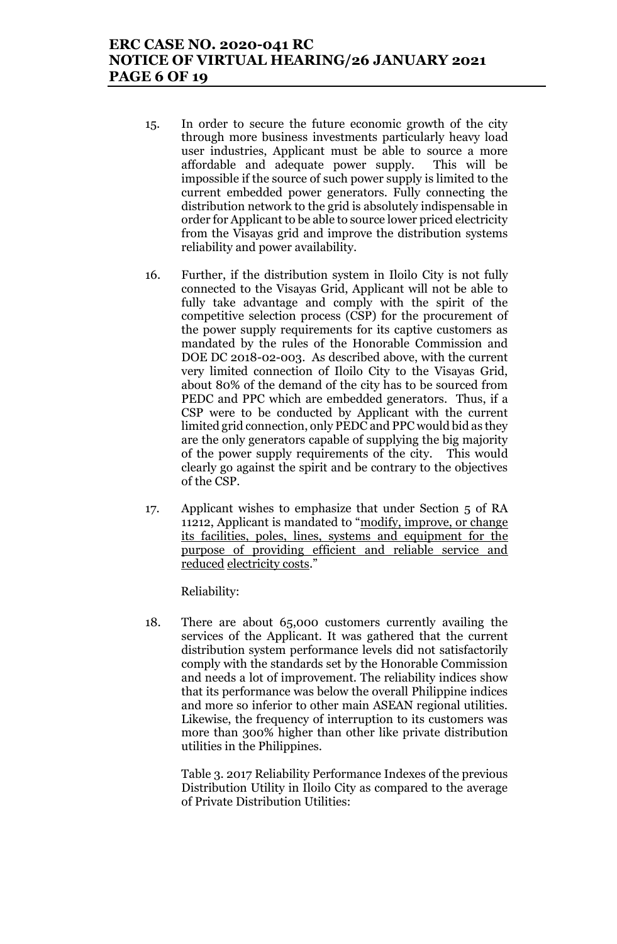# **ERC CASE NO. 2020-041 RC NOTICE OF VIRTUAL HEARING/26 JANUARY 2021 PAGE 6 OF 19**

- 15. In order to secure the future economic growth of the city through more business investments particularly heavy load user industries, Applicant must be able to source a more affordable and adequate power supply. This will be impossible if the source of such power supply is limited to the current embedded power generators. Fully connecting the distribution network to the grid is absolutely indispensable in order for Applicant to be able to source lower priced electricity from the Visayas grid and improve the distribution systems reliability and power availability.
- 16. Further, if the distribution system in Iloilo City is not fully connected to the Visayas Grid, Applicant will not be able to fully take advantage and comply with the spirit of the competitive selection process (CSP) for the procurement of the power supply requirements for its captive customers as mandated by the rules of the Honorable Commission and DOE DC 2018-02-003. As described above, with the current very limited connection of Iloilo City to the Visayas Grid, about 80% of the demand of the city has to be sourced from PEDC and PPC which are embedded generators. Thus, if a CSP were to be conducted by Applicant with the current limited grid connection, only PEDC and PPC would bid as they are the only generators capable of supplying the big majority of the power supply requirements of the city. This would clearly go against the spirit and be contrary to the objectives of the CSP.
- 17. Applicant wishes to emphasize that under Section 5 of RA 11212, Applicant is mandated to "modify, improve, or change its facilities, poles, lines, systems and equipment for the purpose of providing efficient and reliable service and reduced electricity costs."

Reliability:

18. There are about 65,000 customers currently availing the services of the Applicant. It was gathered that the current distribution system performance levels did not satisfactorily comply with the standards set by the Honorable Commission and needs a lot of improvement. The reliability indices show that its performance was below the overall Philippine indices and more so inferior to other main ASEAN regional utilities. Likewise, the frequency of interruption to its customers was more than 300% higher than other like private distribution utilities in the Philippines.

Table 3. 2017 Reliability Performance Indexes of the previous Distribution Utility in Iloilo City as compared to the average of Private Distribution Utilities: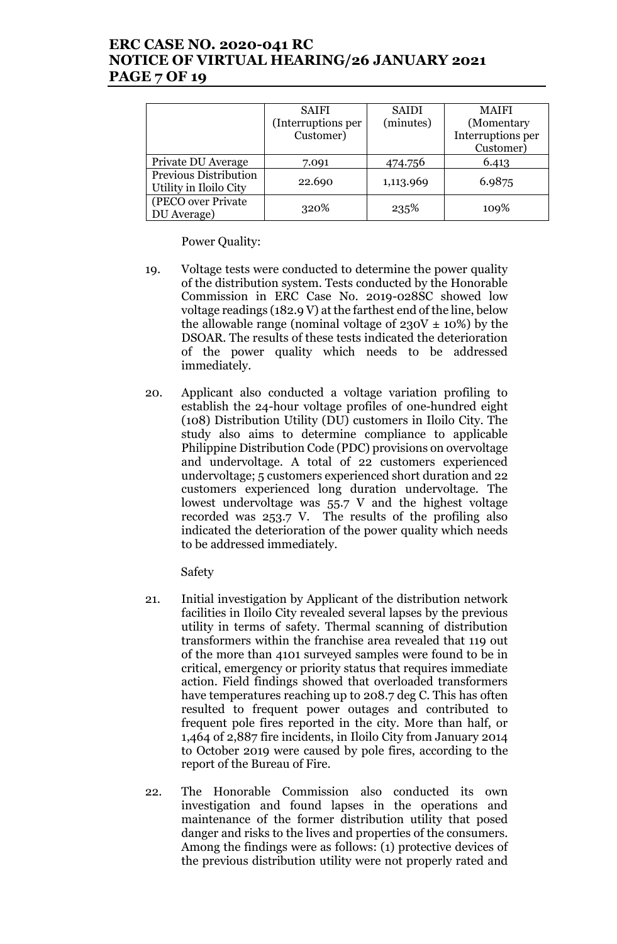# **ERC CASE NO. 2020-041 RC NOTICE OF VIRTUAL HEARING/26 JANUARY 2021 PAGE 7 OF 19**

|                                                        | <b>SAIFI</b>       | <b>SAIDI</b> | <b>MAIFI</b>      |
|--------------------------------------------------------|--------------------|--------------|-------------------|
|                                                        | (Interruptions per | (minutes)    | (Momentary        |
|                                                        | Customer)          |              | Interruptions per |
|                                                        |                    |              | Customer)         |
| Private DU Average                                     | 7.091              | 474.756      | 6.413             |
| <b>Previous Distribution</b><br>Utility in Iloilo City | 22.690             | 1,113.969    | 6.9875            |
| (PECO over Private<br>DU Average)                      | 320%               | 235%         | 109%              |

Power Quality:

- 19. Voltage tests were conducted to determine the power quality of the distribution system. Tests conducted by the Honorable Commission in ERC Case No. 2019-028SC showed low voltage readings (182.9 V) at the farthest end of the line, below the allowable range (nominal voltage of  $230V \pm 10\%$ ) by the DSOAR. The results of these tests indicated the deterioration of the power quality which needs to be addressed immediately.
- 20. Applicant also conducted a voltage variation profiling to establish the 24-hour voltage profiles of one-hundred eight (108) Distribution Utility (DU) customers in Iloilo City. The study also aims to determine compliance to applicable Philippine Distribution Code (PDC) provisions on overvoltage and undervoltage. A total of 22 customers experienced undervoltage; 5 customers experienced short duration and 22 customers experienced long duration undervoltage. The lowest undervoltage was 55.7 V and the highest voltage recorded was 253.7 V. The results of the profiling also indicated the deterioration of the power quality which needs to be addressed immediately.

Safety

- 21. Initial investigation by Applicant of the distribution network facilities in Iloilo City revealed several lapses by the previous utility in terms of safety. Thermal scanning of distribution transformers within the franchise area revealed that 119 out of the more than 4101 surveyed samples were found to be in critical, emergency or priority status that requires immediate action. Field findings showed that overloaded transformers have temperatures reaching up to 208.7 deg C. This has often resulted to frequent power outages and contributed to frequent pole fires reported in the city. More than half, or 1,464 of 2,887 fire incidents, in Iloilo City from January 2014 to October 2019 were caused by pole fires, according to the report of the Bureau of Fire.
- 22. The Honorable Commission also conducted its own investigation and found lapses in the operations and maintenance of the former distribution utility that posed danger and risks to the lives and properties of the consumers. Among the findings were as follows: (1) protective devices of the previous distribution utility were not properly rated and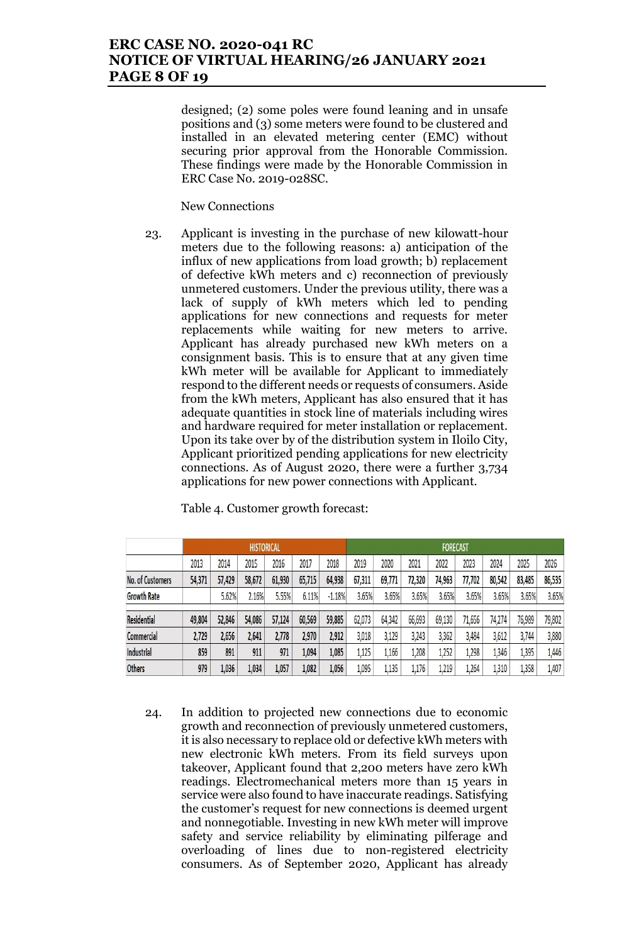### **ERC CASE NO. 2020-041 RC NOTICE OF VIRTUAL HEARING/26 JANUARY 2021 PAGE 8 OF 19**

designed; (2) some poles were found leaning and in unsafe positions and (3) some meters were found to be clustered and installed in an elevated metering center (EMC) without securing prior approval from the Honorable Commission. These findings were made by the Honorable Commission in ERC Case No. 2019-028SC.

New Connections

23. Applicant is investing in the purchase of new kilowatt-hour meters due to the following reasons: a) anticipation of the influx of new applications from load growth; b) replacement of defective kWh meters and c) reconnection of previously unmetered customers. Under the previous utility, there was a lack of supply of kWh meters which led to pending applications for new connections and requests for meter replacements while waiting for new meters to arrive. Applicant has already purchased new kWh meters on a consignment basis. This is to ensure that at any given time kWh meter will be available for Applicant to immediately respond to the different needs or requests of consumers. Aside from the kWh meters, Applicant has also ensured that it has adequate quantities in stock line of materials including wires and hardware required for meter installation or replacement. Upon its take over by of the distribution system in Iloilo City, Applicant prioritized pending applications for new electricity connections. As of August 2020, there were a further 3,734 applications for new power connections with Applicant.

|                         |        |        | <b>HISTORICAL</b> |        |        |          |        |        |        | <b>FORECAST</b> |        |        |        |        |
|-------------------------|--------|--------|-------------------|--------|--------|----------|--------|--------|--------|-----------------|--------|--------|--------|--------|
|                         | 2013   | 2014   | 2015              | 2016   | 2017   | 2018     | 2019   | 2020   | 2021   | 2022            | 2023   | 2024   | 2025   | 2026   |
| <b>No. of Customers</b> | 54,371 | 57,429 | 58,672            | 61,930 | 65,715 | 64,938   | 67,311 | 69,771 | 72,320 | 74,963          | 77,702 | 80,542 | 83,485 | 86,535 |
| <b>Growth Rate</b>      |        | 5.62%  | 2.16%             | 5.55%  | 6.11%  | $-1.18%$ | 3.65%  | 3.65%  | 3.65%  | 3.65%           | 3.65%  | 3.65%  | 3.65%  | 3.65%  |
| Residential             | 49,804 | 52,846 | 54,086            | 57,124 | 60,569 | 59,885   | 62,073 | 64,342 | 66,693 | 69,130          | 71,656 | 74,274 | 76,989 | 79,802 |
| Commercial              | 2,729  | 2,656  | 2,641             | 2,778  | 2,970  | 2,912    | 3,018  | 3,129  | 3,243  | 3,362           | 3,484  | 3,612  | 3,744  | 3,880  |
| Industrial              | 859    | 891    | 911               | 971    | 1,094  | 1,085    | 1,125  | 1,166  | 1,208  | 1,252           | ,298   | 1,346  | 1,395  | 1,446  |
| <b>Others</b>           | 979    | 1,036  | 1,034             | 1,057  | 1,082  | 1,056    | 1,095  | 1,135  | 1,176  | 1,219           | 1,264  | 1,310  | 1,358  | 1,407  |

Table 4. Customer growth forecast:

24. In addition to projected new connections due to economic growth and reconnection of previously unmetered customers, it is also necessary to replace old or defective kWh meters with new electronic kWh meters. From its field surveys upon takeover, Applicant found that 2,200 meters have zero kWh readings. Electromechanical meters more than 15 years in service were also found to have inaccurate readings. Satisfying the customer's request for new connections is deemed urgent and nonnegotiable. Investing in new kWh meter will improve safety and service reliability by eliminating pilferage and overloading of lines due to non-registered electricity consumers. As of September 2020, Applicant has already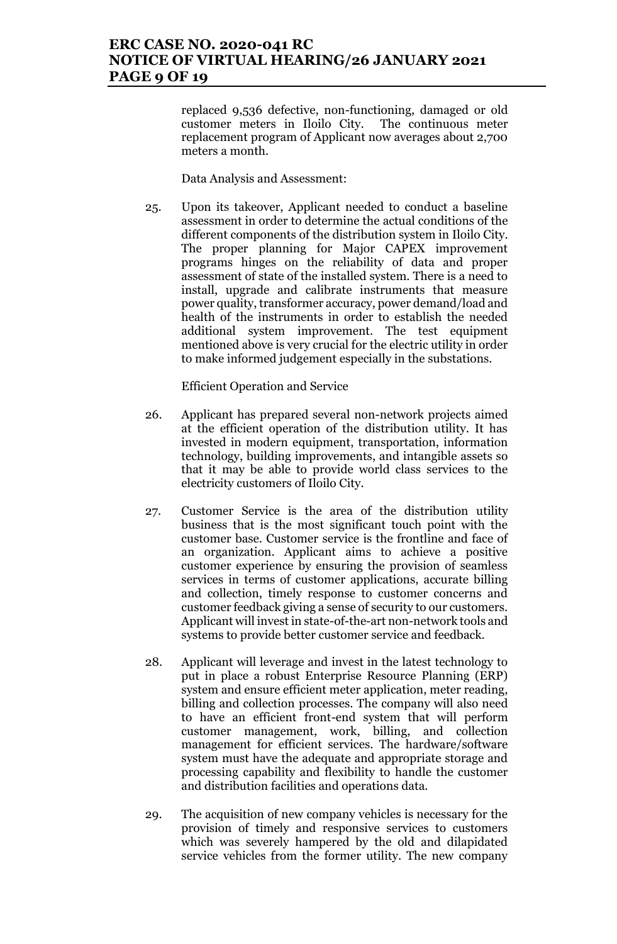replaced 9,536 defective, non-functioning, damaged or old customer meters in Iloilo City. The continuous meter replacement program of Applicant now averages about 2,700 meters a month.

Data Analysis and Assessment:

25. Upon its takeover, Applicant needed to conduct a baseline assessment in order to determine the actual conditions of the different components of the distribution system in Iloilo City. The proper planning for Major CAPEX improvement programs hinges on the reliability of data and proper assessment of state of the installed system. There is a need to install, upgrade and calibrate instruments that measure power quality, transformer accuracy, power demand/load and health of the instruments in order to establish the needed additional system improvement. The test equipment mentioned above is very crucial for the electric utility in order to make informed judgement especially in the substations.

Efficient Operation and Service

- 26. Applicant has prepared several non-network projects aimed at the efficient operation of the distribution utility. It has invested in modern equipment, transportation, information technology, building improvements, and intangible assets so that it may be able to provide world class services to the electricity customers of Iloilo City.
- 27. Customer Service is the area of the distribution utility business that is the most significant touch point with the customer base. Customer service is the frontline and face of an organization. Applicant aims to achieve a positive customer experience by ensuring the provision of seamless services in terms of customer applications, accurate billing and collection, timely response to customer concerns and customer feedback giving a sense of security to our customers. Applicant will invest in state-of-the-art non-network tools and systems to provide better customer service and feedback.
- 28. Applicant will leverage and invest in the latest technology to put in place a robust Enterprise Resource Planning (ERP) system and ensure efficient meter application, meter reading, billing and collection processes. The company will also need to have an efficient front-end system that will perform customer management, work, billing, and collection management for efficient services. The hardware/software system must have the adequate and appropriate storage and processing capability and flexibility to handle the customer and distribution facilities and operations data.
- 29. The acquisition of new company vehicles is necessary for the provision of timely and responsive services to customers which was severely hampered by the old and dilapidated service vehicles from the former utility. The new company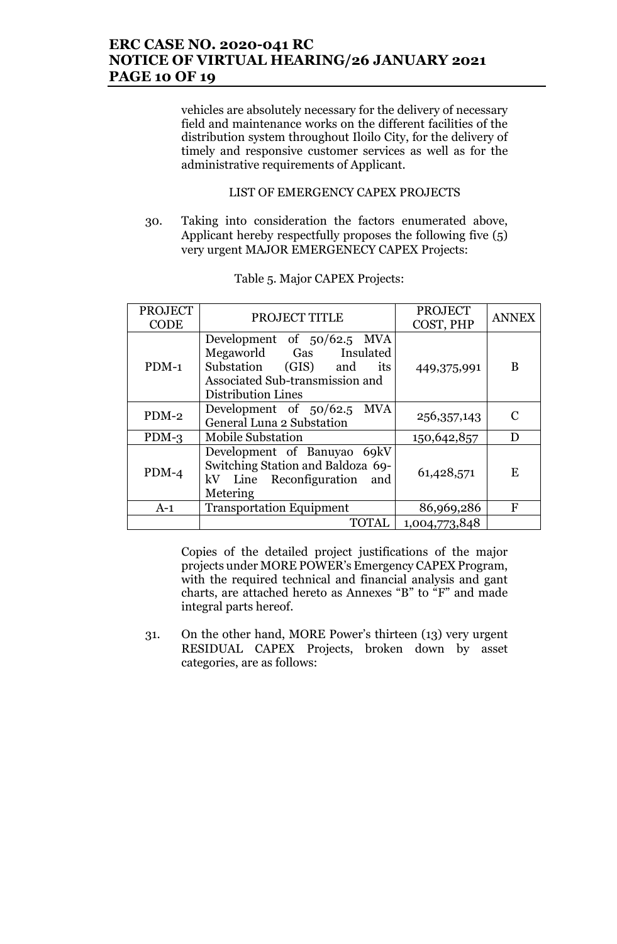# **ERC CASE NO. 2020-041 RC NOTICE OF VIRTUAL HEARING/26 JANUARY 2021 PAGE 10 OF 19**

vehicles are absolutely necessary for the delivery of necessary field and maintenance works on the different facilities of the distribution system throughout Iloilo City, for the delivery of timely and responsive customer services as well as for the administrative requirements of Applicant.

#### LIST OF EMERGENCY CAPEX PROJECTS

30. Taking into consideration the factors enumerated above, Applicant hereby respectfully proposes the following five (5) very urgent MAJOR EMERGENECY CAPEX Projects:

| <b>PROJECT</b><br><b>CODE</b> | PROJECT TITLE                                                                                                                                           | <b>PROJECT</b><br>COST, PHP | <b>ANNEX</b>  |
|-------------------------------|---------------------------------------------------------------------------------------------------------------------------------------------------------|-----------------------------|---------------|
| $PDM-1$                       | Development of 50/62.5 MVA<br>Megaworld Gas Insulated<br>Substation (GIS)<br>and<br>its<br>Associated Sub-transmission and<br><b>Distribution Lines</b> | 449,375,991                 | B             |
| $PDM-2$                       | Development of 50/62.5 MVA<br>General Luna 2 Substation                                                                                                 | 256, 357, 143               | $\mathcal{C}$ |
| $PDM-3$                       | <b>Mobile Substation</b>                                                                                                                                | 150,642,857                 | D             |
| $PDM-4$                       | Development of Banuyao 69kV<br>Switching Station and Baldoza 69-<br>kV Line Reconfiguration<br>and<br>Metering                                          | 61,428,571                  | E             |
| $A-1$                         | <b>Transportation Equipment</b>                                                                                                                         | 86,969,286                  | F             |
|                               | <b>TOTAL</b>                                                                                                                                            | 1,004,773,848               |               |

Table 5. Major CAPEX Projects:

Copies of the detailed project justifications of the major projects under MORE POWER's Emergency CAPEX Program, with the required technical and financial analysis and gant charts, are attached hereto as Annexes "B" to "F" and made integral parts hereof.

31. On the other hand, MORE Power's thirteen (13) very urgent RESIDUAL CAPEX Projects, broken down by asset categories, are as follows: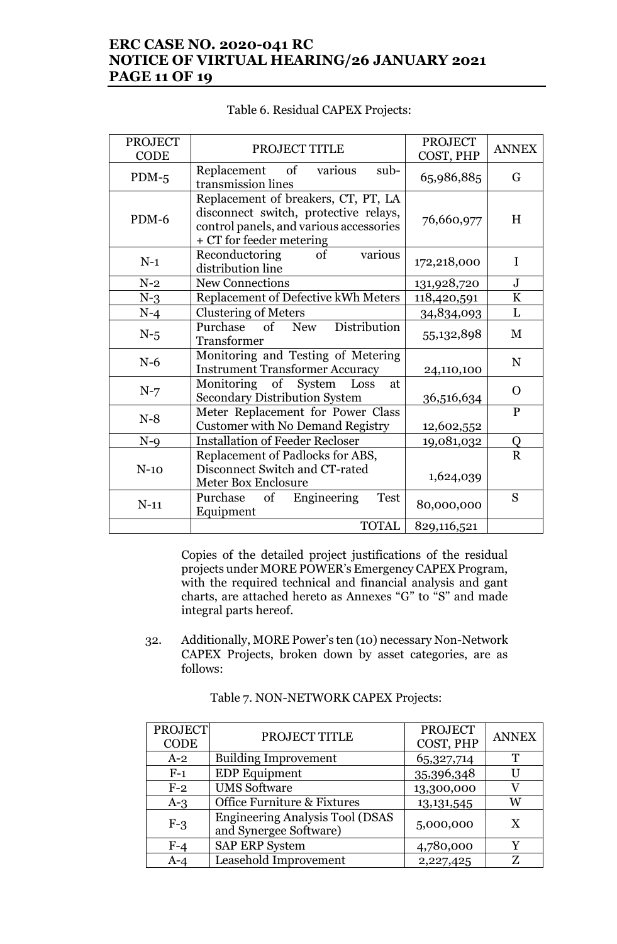# **ERC CASE NO. 2020-041 RC NOTICE OF VIRTUAL HEARING/26 JANUARY 2021 PAGE 11 OF 19**

| <b>PROJECT</b><br><b>CODE</b> | PROJECT TITLE                                                                                                                                       | <b>PROJECT</b><br>COST, PHP | <b>ANNEX</b> |
|-------------------------------|-----------------------------------------------------------------------------------------------------------------------------------------------------|-----------------------------|--------------|
| $PDM-5$                       | Replacement of<br>sub-<br>various<br>transmission lines                                                                                             | 65,986,885                  | G            |
| PDM-6                         | Replacement of breakers, CT, PT, LA<br>disconnect switch, protective relays,<br>control panels, and various accessories<br>+ CT for feeder metering | 76,660,977                  | H            |
| $N-1$                         | of<br>Reconductoring<br>various<br>distribution line                                                                                                | 172,218,000                 | I            |
| $N-2$                         | New Connections                                                                                                                                     | 131,928,720                 | ${\bf J}$    |
| $N-3$                         | Replacement of Defective kWh Meters                                                                                                                 | 118,420,591                 | $\bf K$      |
| $N-4$                         | <b>Clustering of Meters</b>                                                                                                                         | 34,834,093                  | $\mathbf L$  |
| $N-5$                         | Distribution<br>Purchase<br>of New<br>Transformer                                                                                                   | 55,132,898                  | M            |
| $N-6$                         | Monitoring and Testing of Metering<br><b>Instrument Transformer Accuracy</b>                                                                        | 24,110,100                  | N            |
| $N-7$                         | Monitoring of System Loss<br>at<br><b>Secondary Distribution System</b>                                                                             | 36,516,634                  | $\Omega$     |
| $N-8$                         | Meter Replacement for Power Class<br><b>Customer with No Demand Registry</b>                                                                        | 12,602,552                  | $\mathbf{P}$ |
| $N-9$                         | <b>Installation of Feeder Recloser</b>                                                                                                              | 19,081,032                  | Q            |
| $N-10$                        | Replacement of Padlocks for ABS,<br>Disconnect Switch and CT-rated<br>Meter Box Enclosure                                                           | 1,624,039                   | $\mathbf R$  |
| $N-11$                        | of Engineering<br>Purchase<br>Test<br>Equipment                                                                                                     | 80,000,000                  | S            |
|                               | <b>TOTAL</b>                                                                                                                                        | 829,116,521                 |              |

#### Table 6. Residual CAPEX Projects:

Copies of the detailed project justifications of the residual projects under MORE POWER's Emergency CAPEX Program, with the required technical and financial analysis and gant charts, are attached hereto as Annexes "G" to "S" and made integral parts hereof.

32. Additionally, MORE Power's ten (10) necessary Non-Network CAPEX Projects, broken down by asset categories, are as follows:

| <b>PROJECT</b><br><b>CODE</b> | PROJECT TITLE                                                    | <b>PROJECT</b><br>COST, PHP | <b>ANNEX</b> |
|-------------------------------|------------------------------------------------------------------|-----------------------------|--------------|
| $A-2$                         | <b>Building Improvement</b>                                      | 65,327,714                  | T            |
| $F-1$                         | <b>EDP</b> Equipment                                             | 35,396,348                  | U            |
| $F-2$                         | <b>UMS Software</b>                                              | 13,300,000                  |              |
| $A-3$                         | Office Furniture & Fixtures                                      | 13, 131, 545                | W            |
| $F-3$                         | <b>Engineering Analysis Tool (DSAS</b><br>and Synergee Software) | 5,000,000                   | X            |
| $F-4$                         | <b>SAP ERP System</b>                                            | 4,780,000                   | Y            |
| A-4                           | Leasehold Improvement                                            | 2,227,425                   | Z            |

Table 7. NON-NETWORK CAPEX Projects: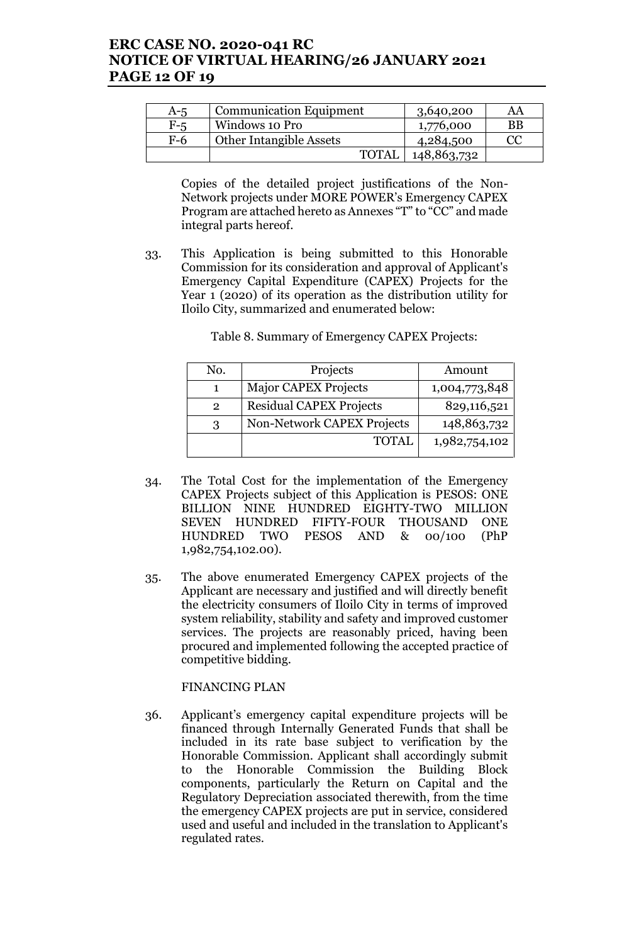### **ERC CASE NO. 2020-041 RC NOTICE OF VIRTUAL HEARING/26 JANUARY 2021 PAGE 12 OF 19**

| A-5   | <b>Communication Equipment</b> | 3,640,200   | AA |
|-------|--------------------------------|-------------|----|
| $F-5$ | Windows 10 Pro                 | 1,776,000   | ΒB |
| $F-6$ | <b>Other Intangible Assets</b> | 4,284,500   | CC |
|       | <b>TOTAL</b>                   | 148,863,732 |    |

Copies of the detailed project justifications of the Non-Network projects under MORE POWER's Emergency CAPEX Program are attached hereto as Annexes "T" to "CC" and made integral parts hereof.

33. This Application is being submitted to this Honorable Commission for its consideration and approval of Applicant's Emergency Capital Expenditure (CAPEX) Projects for the Year 1 (2020) of its operation as the distribution utility for Iloilo City, summarized and enumerated below:

|  |  |  | Table 8. Summary of Emergency CAPEX Projects: |
|--|--|--|-----------------------------------------------|
|--|--|--|-----------------------------------------------|

| No.           | Projects                       | Amount        |
|---------------|--------------------------------|---------------|
|               | <b>Major CAPEX Projects</b>    | 1,004,773,848 |
| $\mathcal{P}$ | <b>Residual CAPEX Projects</b> | 829,116,521   |
| ર             | Non-Network CAPEX Projects     | 148,863,732   |
|               | <b>TOTAL</b>                   | 1,982,754,102 |
|               |                                |               |

- 34. The Total Cost for the implementation of the Emergency CAPEX Projects subject of this Application is PESOS: ONE BILLION NINE HUNDRED EIGHTY-TWO MILLION SEVEN HUNDRED FIFTY-FOUR THOUSAND ONE HUNDRED TWO PESOS AND & 00/100 (PhP 1,982,754,102.00).
- 35. The above enumerated Emergency CAPEX projects of the Applicant are necessary and justified and will directly benefit the electricity consumers of Iloilo City in terms of improved system reliability, stability and safety and improved customer services. The projects are reasonably priced, having been procured and implemented following the accepted practice of competitive bidding.

FINANCING PLAN

36. Applicant's emergency capital expenditure projects will be financed through Internally Generated Funds that shall be included in its rate base subject to verification by the Honorable Commission. Applicant shall accordingly submit to the Honorable Commission the Building Block components, particularly the Return on Capital and the Regulatory Depreciation associated therewith, from the time the emergency CAPEX projects are put in service, considered used and useful and included in the translation to Applicant's regulated rates.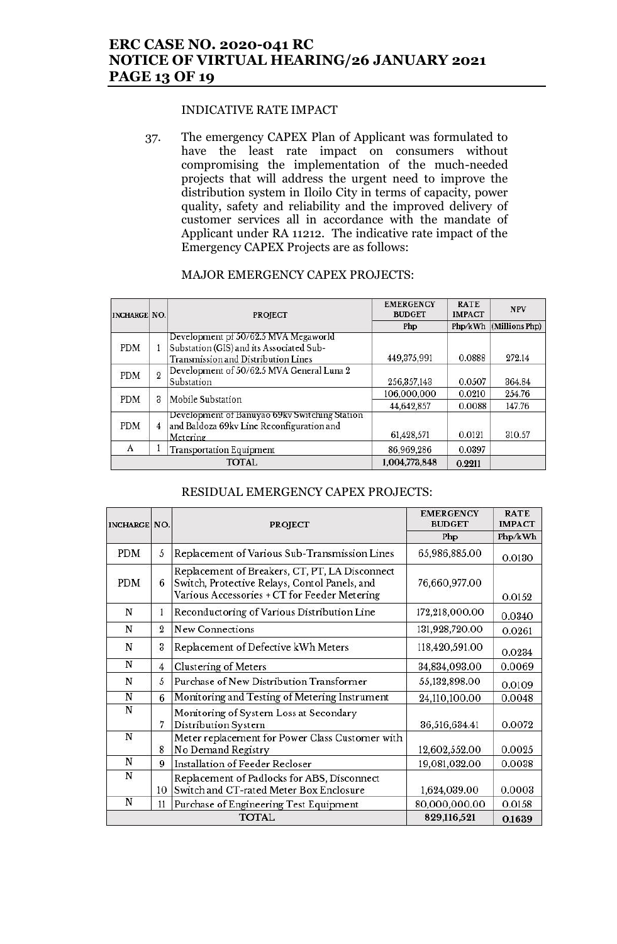# **ERC CASE NO. 2020-041 RC NOTICE OF VIRTUAL HEARING/26 JANUARY 2021 PAGE 13 OF 19**

#### INDICATIVE RATE IMPACT

37. The emergency CAPEX Plan of Applicant was formulated to have the least rate impact on consumers without compromising the implementation of the much-needed projects that will address the urgent need to improve the distribution system in Iloilo City in terms of capacity, power quality, safety and reliability and the improved delivery of customer services all in accordance with the mandate of Applicant under RA 11212. The indicative rate impact of the Emergency CAPEX Projects are as follows:

| <b>INCHARGE NO.</b> |                | <b>PROJECT</b>                                                                                                                 | <b>EMERGENCY</b><br><b>BUDGET</b> | <b>RATE</b><br><b>IMPACT</b> | <b>NPV</b>     |
|---------------------|----------------|--------------------------------------------------------------------------------------------------------------------------------|-----------------------------------|------------------------------|----------------|
|                     |                |                                                                                                                                | Php                               | Php/kWh                      | (Millions Php) |
| <b>PDM</b>          | 1              | Development pf 50/62.5 MVA Megaworld<br>Substation (GIS) and its Associated Sub-<br><b>Transmission and Distribution Lines</b> | 449, 375, 991                     | 0.0888                       | 272.14         |
| PDM                 | $\overline{2}$ | Development of 50/62.5 MVA General Luna 2<br>Substation                                                                        | 256, 357, 143                     | 0.0507                       | 364.84         |
| <b>PDM</b>          | 3              | Mobile Substation                                                                                                              | 106,000,000                       | 0.0210                       | 254.76         |
|                     |                |                                                                                                                                | 44,642,857                        | 0.0088                       | 147.76         |
| PDM                 | 4              | Development of Banuyao 69kv Switching Station<br>and Baldoza 69kv Line Reconfiguration and<br>Metering                         | 61,428,571                        | 0.0121                       | 310.57         |
| A                   |                | <b>Transportation Equipment</b>                                                                                                | 86,969,286                        | 0.0397                       |                |
|                     |                | <b>TOTAL</b>                                                                                                                   | 1,004,773,848                     | 0.2211                       |                |

#### MAJOR EMERGENCY CAPEX PROJECTS:

#### RESIDUAL EMERGENCY CAPEX PROJECTS:

| <b>INCHARGE NO.</b> |                                              | <b>PROJECT</b>                                                                                                                                  | <b>EMERGENCY</b><br><b>BUDGET</b> | <b>RATE</b><br><b>IMPACT</b> |
|---------------------|----------------------------------------------|-------------------------------------------------------------------------------------------------------------------------------------------------|-----------------------------------|------------------------------|
|                     |                                              |                                                                                                                                                 | Php                               | Php/kWh                      |
| PDM                 | 5                                            | Replacement of Various Sub-Transmission Lines                                                                                                   | 65,986,885.00                     | 0.0130                       |
| <b>PDM</b>          | 6                                            | Replacement of Breakers, CT, PT, LA Disconnect<br>Switch, Protective Relays, Contol Panels, and<br>Various Accessories + CT for Feeder Metering | 76,660,977.00                     | 0.0152                       |
| N                   | 1                                            | Reconductoring of Various Distribution Line                                                                                                     | 172,218,000.00                    | 0.0340                       |
| N                   | $\overline{2}$                               | <b>New Connections</b>                                                                                                                          | 131,928,720.00                    | 0.0261                       |
| N                   | 3                                            | Replacement of Defective kWh Meters                                                                                                             | 118,420,591.00                    | 0.0234                       |
| N                   | $\overline{4}$                               | Clustering of Meters                                                                                                                            | 34,834,093.00                     | 0.0069                       |
| N                   | 5                                            | Purchase of New Distribution Transformer                                                                                                        | 55,132,898.00                     | 0.0109                       |
| ${\bf N}$           | 6                                            | Monitoring and Testing of Metering Instrument                                                                                                   | 24,110,100.00                     | 0.0048                       |
| N                   | 7                                            | Monitoring of System Loss at Secondary<br>Distribution System                                                                                   | 36,516,634.41                     | 0.0072                       |
| N                   | 8                                            | Meter replacement for Power Class Customer with<br>No Demand Registry                                                                           | 12,602,552.00                     | 0.0025                       |
| N                   | 9                                            | Installation of Feeder Recloser                                                                                                                 | 19,081,032.00                     | 0.0038                       |
| N                   | 10                                           | Replacement of Padlocks for ABS, Disconnect<br>Switch and CT-rated Meter Box Enclosure                                                          | 1,624,039.00                      | 0.0003                       |
| N                   | 11<br>Purchase of Engineering Test Equipment |                                                                                                                                                 | 80,000,000.00                     | 0.0158                       |
|                     |                                              | <b>TOTAL</b>                                                                                                                                    | 829,116,521                       | 0.1639                       |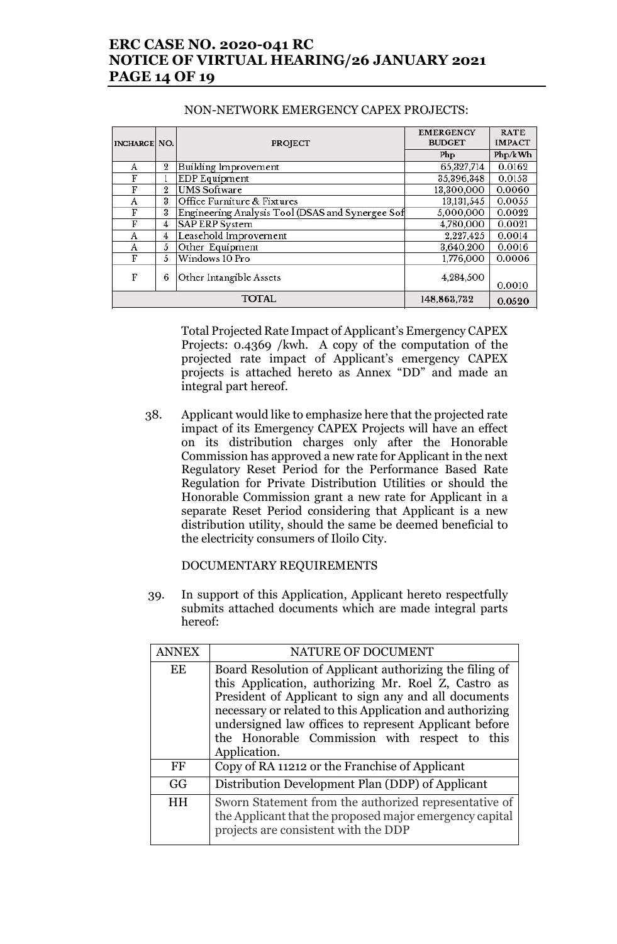# **ERC CASE NO. 2020-041 RC NOTICE OF VIRTUAL HEARING/26 JANUARY 2021 PAGE 14 OF 19**

| <b>INCHARGE NO.</b> |                  | <b>PROJECT</b>                                   | <b>EMERGENCY</b><br><b>BUDGET</b> | <b>RATE</b><br><b>IMPACT</b> |
|---------------------|------------------|--------------------------------------------------|-----------------------------------|------------------------------|
|                     |                  |                                                  | Php                               | Php/kWh                      |
| A                   | $\boldsymbol{2}$ | Building Improvement                             | 65,327,714                        | 0.0162                       |
| F                   |                  | <b>EDP</b> Equipment                             | 35,396,348                        | 0.0153                       |
| F                   | $\overline{2}$   | <b>UMS Software</b>                              | 13,300,000                        | 0.0060                       |
| A                   | 3                | Office Furniture & Fixtures                      | 13, 131, 545                      | 0.0055                       |
| F                   | 3                | Engineering Analysis Tool (DSAS and Synergee Sof | 5,000,000                         | 0.0022                       |
| F                   | 4                | <b>SAP ERP System</b>                            | 4,780,000                         | 0.0021                       |
| A                   | 4                | Leasehold Improvement                            | 2,227,425                         | 0.0014                       |
| A                   | 5                | Other Equipment                                  | 3,640,200                         | 0.0016                       |
| F                   | 5                | Windows 10 Pro                                   | 1,776,000                         | 0.0006                       |
| F                   | 6                | Other Intangible Assets                          | 4,284,500                         | 0.0010                       |
|                     |                  | <b>TOTAL</b>                                     | 148,863,732                       | 0.0520                       |

#### NON-NETWORK EMERGENCY CAPEX PROJECTS:

Total Projected Rate Impact of Applicant's Emergency CAPEX Projects: 0.4369 /kwh. A copy of the computation of the projected rate impact of Applicant's emergency CAPEX projects is attached hereto as Annex "DD" and made an integral part hereof.

38. Applicant would like to emphasize here that the projected rate impact of its Emergency CAPEX Projects will have an effect on its distribution charges only after the Honorable Commission has approved a new rate for Applicant in the next Regulatory Reset Period for the Performance Based Rate Regulation for Private Distribution Utilities or should the Honorable Commission grant a new rate for Applicant in a separate Reset Period considering that Applicant is a new distribution utility, should the same be deemed beneficial to the electricity consumers of Iloilo City.

DOCUMENTARY REQUIREMENTS

39. In support of this Application, Applicant hereto respectfully submits attached documents which are made integral parts hereof:

| <b>ANNEX</b> | NATURE OF DOCUMENT                                                                                                                                                                                                                                                                                                                                           |  |
|--------------|--------------------------------------------------------------------------------------------------------------------------------------------------------------------------------------------------------------------------------------------------------------------------------------------------------------------------------------------------------------|--|
| EE           | Board Resolution of Applicant authorizing the filing of<br>this Application, authorizing Mr. Roel Z, Castro as<br>President of Applicant to sign any and all documents<br>necessary or related to this Application and authorizing<br>undersigned law offices to represent Applicant before<br>the Honorable Commission with respect to this<br>Application. |  |
| FF           | Copy of RA 11212 or the Franchise of Applicant                                                                                                                                                                                                                                                                                                               |  |
| GG           | Distribution Development Plan (DDP) of Applicant                                                                                                                                                                                                                                                                                                             |  |
| HН           | Sworn Statement from the authorized representative of<br>the Applicant that the proposed major emergency capital<br>projects are consistent with the DDP                                                                                                                                                                                                     |  |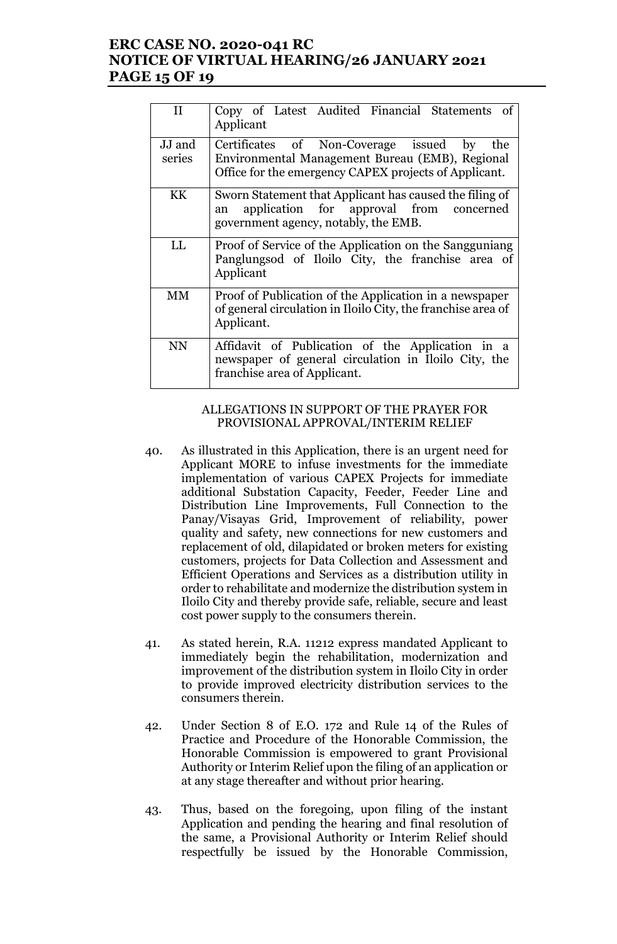### **ERC CASE NO. 2020-041 RC NOTICE OF VIRTUAL HEARING/26 JANUARY 2021 PAGE 15 OF 19**

| H                | Copy of Latest Audited Financial Statements of<br>Applicant                                                                                                                       |  |  |
|------------------|-----------------------------------------------------------------------------------------------------------------------------------------------------------------------------------|--|--|
| JJ and<br>series | Certificates of Non-Coverage issued<br>$\mathbf{b} \mathbf{v}$<br>the<br>Environmental Management Bureau (EMB), Regional<br>Office for the emergency CAPEX projects of Applicant. |  |  |
| KK               | Sworn Statement that Applicant has caused the filing of<br>application for approval from concerned<br>an<br>government agency, notably, the EMB.                                  |  |  |
| LL               | Proof of Service of the Application on the Sangguniang<br>Panglungsod of Iloilo City, the franchise area of<br>Applicant                                                          |  |  |
| MМ               | Proof of Publication of the Application in a newspaper<br>of general circulation in Iloilo City, the franchise area of<br>Applicant.                                              |  |  |
| <b>NN</b>        | Affidavit of Publication of the Application in a<br>newspaper of general circulation in Iloilo City, the<br>franchise area of Applicant.                                          |  |  |

#### ALLEGATIONS IN SUPPORT OF THE PRAYER FOR PROVISIONAL APPROVAL/INTERIM RELIEF

- 40. As illustrated in this Application, there is an urgent need for Applicant MORE to infuse investments for the immediate implementation of various CAPEX Projects for immediate additional Substation Capacity, Feeder, Feeder Line and Distribution Line Improvements, Full Connection to the Panay/Visayas Grid, Improvement of reliability, power quality and safety, new connections for new customers and replacement of old, dilapidated or broken meters for existing customers, projects for Data Collection and Assessment and Efficient Operations and Services as a distribution utility in order to rehabilitate and modernize the distribution system in Iloilo City and thereby provide safe, reliable, secure and least cost power supply to the consumers therein.
- 41. As stated herein, R.A. 11212 express mandated Applicant to immediately begin the rehabilitation, modernization and improvement of the distribution system in Iloilo City in order to provide improved electricity distribution services to the consumers therein.
- 42. Under Section 8 of E.O. 172 and Rule 14 of the Rules of Practice and Procedure of the Honorable Commission, the Honorable Commission is empowered to grant Provisional Authority or Interim Relief upon the filing of an application or at any stage thereafter and without prior hearing.
- 43. Thus, based on the foregoing, upon filing of the instant Application and pending the hearing and final resolution of the same, a Provisional Authority or Interim Relief should respectfully be issued by the Honorable Commission,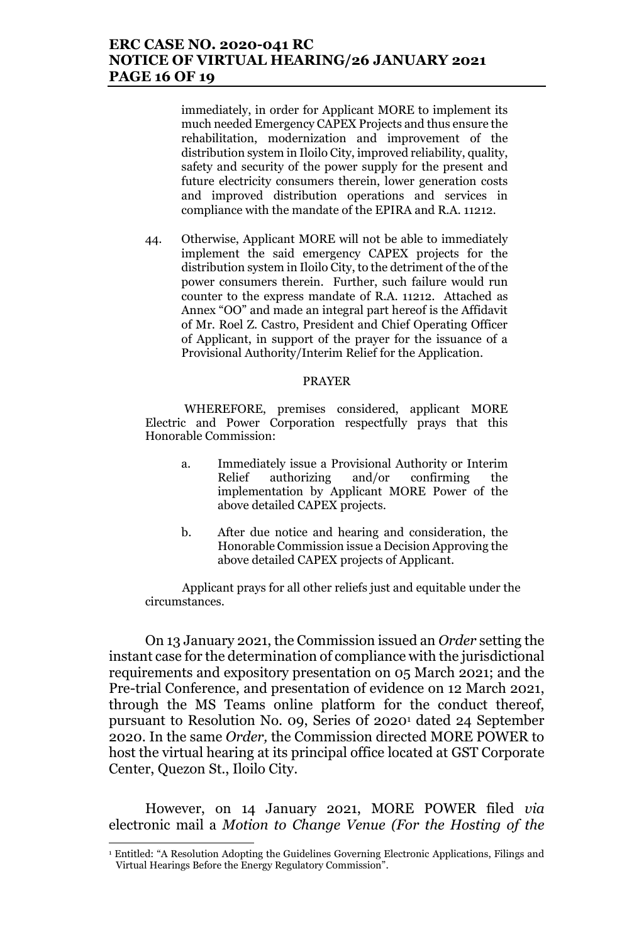### **ERC CASE NO. 2020-041 RC NOTICE OF VIRTUAL HEARING/26 JANUARY 2021 PAGE 16 OF 19**

immediately, in order for Applicant MORE to implement its much needed Emergency CAPEX Projects and thus ensure the rehabilitation, modernization and improvement of the distribution system in Iloilo City, improved reliability, quality, safety and security of the power supply for the present and future electricity consumers therein, lower generation costs and improved distribution operations and services in compliance with the mandate of the EPIRA and R.A. 11212.

44. Otherwise, Applicant MORE will not be able to immediately implement the said emergency CAPEX projects for the distribution system in Iloilo City, to the detriment of the of the power consumers therein. Further, such failure would run counter to the express mandate of R.A. 11212. Attached as Annex "OO" and made an integral part hereof is the Affidavit of Mr. Roel Z. Castro, President and Chief Operating Officer of Applicant, in support of the prayer for the issuance of a Provisional Authority/Interim Relief for the Application.

#### PRAYER

WHEREFORE, premises considered, applicant MORE Electric and Power Corporation respectfully prays that this Honorable Commission:

- a. Immediately issue a Provisional Authority or Interim Relief authorizing and/or confirming the implementation by Applicant MORE Power of the above detailed CAPEX projects.
- b. After due notice and hearing and consideration, the Honorable Commission issue a Decision Approving the above detailed CAPEX projects of Applicant.

Applicant prays for all other reliefs just and equitable under the circumstances.

On 13 January 2021, the Commission issued an *Order* setting the instant case for the determination of compliance with the jurisdictional requirements and expository presentation on 05 March 2021; and the Pre-trial Conference, and presentation of evidence on 12 March 2021, through the MS Teams online platform for the conduct thereof, pursuant to Resolution No. 09, Series 0f 2020<sup>1</sup> dated 24 September 2020. In the same *Order,* the Commission directed MORE POWER to host the virtual hearing at its principal office located at GST Corporate Center, Quezon St., Iloilo City.

However, on 14 January 2021, MORE POWER filed *via*  electronic mail a *Motion to Change Venue (For the Hosting of the* 

 $\overline{a}$ 

<sup>&</sup>lt;sup>1</sup> Entitled: "A Resolution Adopting the Guidelines Governing Electronic Applications, Filings and Virtual Hearings Before the Energy Regulatory Commission".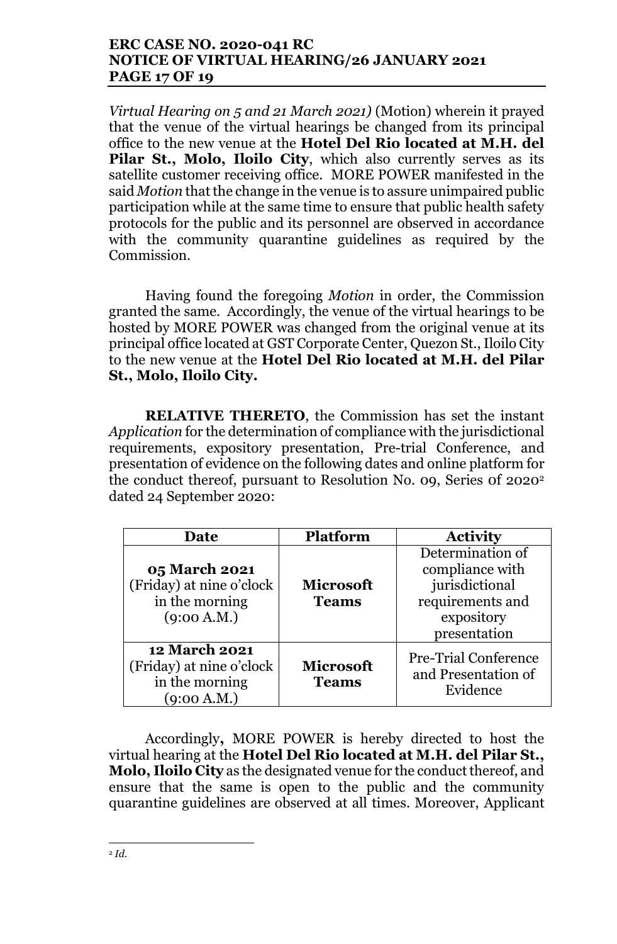# **ERC CASE NO. 2020-041 RC NOTICE OF VIRTUAL HEARING/26 JANUARY 2021 PAGE 17 OF 19**

*Virtual Hearing on 5 and 21 March 2021)* (Motion) wherein it prayed that the venue of the virtual hearings be changed from its principal office to the new venue at the **Hotel Del Rio located at M.H. del Pilar St., Molo, Iloilo City**, which also currently serves as its satellite customer receiving office. MORE POWER manifested in the said *Motion* that the change in the venue is to assure unimpaired public participation while at the same time to ensure that public health safety protocols for the public and its personnel are observed in accordance with the community quarantine guidelines as required by the Commission.

Having found the foregoing *Motion* in order, the Commission granted the same. Accordingly, the venue of the virtual hearings to be hosted by MORE POWER was changed from the original venue at its principal office located at GST Corporate Center, Quezon St., Iloilo City to the new venue at the **Hotel Del Rio located at M.H. del Pilar St., Molo, Iloilo City.**

**RELATIVE THERETO**, the Commission has set the instant *Application* for the determination of compliance with the jurisdictional requirements, expository presentation, Pre-trial Conference, and presentation of evidence on the following dates and online platform for the conduct thereof, pursuant to Resolution No. 09, Series 0f 2020<sup>2</sup> dated 24 September 2020:

| Date                                                                              | <b>Platform</b>                  | <b>Activity</b>                                                                                         |
|-----------------------------------------------------------------------------------|----------------------------------|---------------------------------------------------------------------------------------------------------|
| 05 March 2021<br>(Friday) at nine o'clock<br>in the morning<br>(9:00 A.M.)        | <b>Microsoft</b><br><b>Teams</b> | Determination of<br>compliance with<br>jurisdictional<br>requirements and<br>expository<br>presentation |
| <b>12 March 2021</b><br>(Friday) at nine o'clock<br>in the morning<br>(9:00 A.M.) | <b>Microsoft</b><br><b>Teams</b> | <b>Pre-Trial Conference</b><br>and Presentation of<br>Evidence                                          |

Accordingly**,** MORE POWER is hereby directed to host the virtual hearing at the **Hotel Del Rio located at M.H. del Pilar St., Molo, Iloilo City** as the designated venue for the conduct thereof, and ensure that the same is open to the public and the community quarantine guidelines are observed at all times. Moreover, Applicant

<sup>2</sup> *Id.*

 $\overline{a}$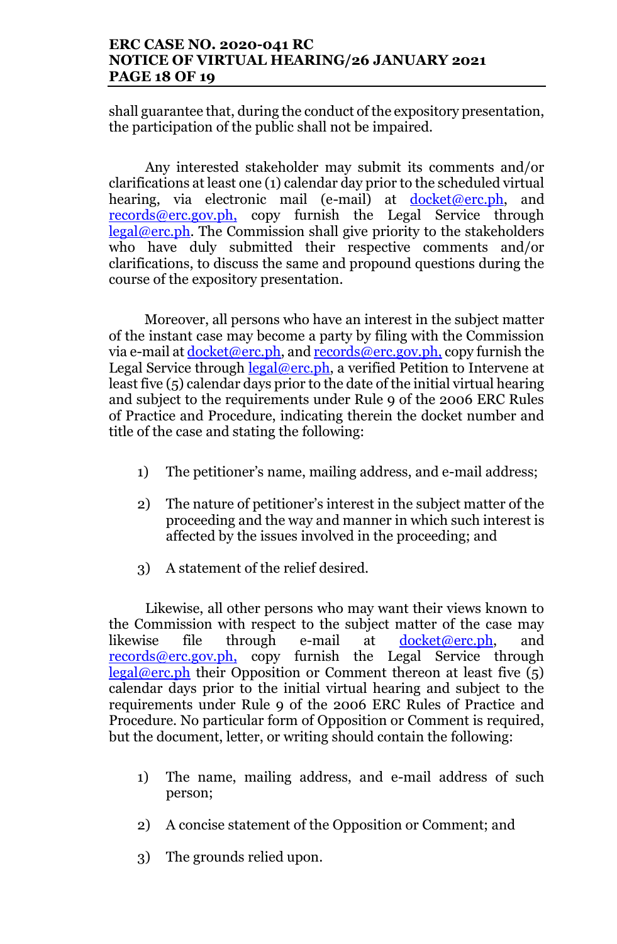# **ERC CASE NO. 2020-041 RC NOTICE OF VIRTUAL HEARING/26 JANUARY 2021 PAGE 18 OF 19**

shall guarantee that, during the conduct of the expository presentation, the participation of the public shall not be impaired.

Any interested stakeholder may submit its comments and/or clarifications at least one (1) calendar day prior to the scheduled virtual hearing, via electronic mail (e-mail) at docket@erc.ph, and records@erc.gov.ph, copy furnish the Legal Service through legal@erc.ph. The Commission shall give priority to the stakeholders who have duly submitted their respective comments and/or clarifications, to discuss the same and propound questions during the course of the expository presentation.

Moreover, all persons who have an interest in the subject matter of the instant case may become a party by filing with the Commission via e-mail at  $d$ ocket@erc.ph, and records@erc.gov.ph, copy furnish the Legal Service through  $\frac{\text{legal@erc.ph}}{\text{Real@erc.ph}}$ , a verified Petition to Intervene at least five (5) calendar days prior to the date of the initial virtual hearing and subject to the requirements under Rule 9 of the 2006 ERC Rules of Practice and Procedure, indicating therein the docket number and title of the case and stating the following:

- 1) The petitioner's name, mailing address, and e-mail address;
- 2) The nature of petitioner's interest in the subject matter of the proceeding and the way and manner in which such interest is affected by the issues involved in the proceeding; and
- 3) A statement of the relief desired.

Likewise, all other persons who may want their views known to the Commission with respect to the subject matter of the case may likewise file through e-mail at docket@erc.ph, and records@erc.gov.ph, copy furnish the Legal Service through legal@erc.ph their Opposition or Comment thereon at least five  $(5)$ calendar days prior to the initial virtual hearing and subject to the requirements under Rule 9 of the 2006 ERC Rules of Practice and Procedure. No particular form of Opposition or Comment is required, but the document, letter, or writing should contain the following:

- 1) The name, mailing address, and e-mail address of such person;
- 2) A concise statement of the Opposition or Comment; and
- 3) The grounds relied upon.